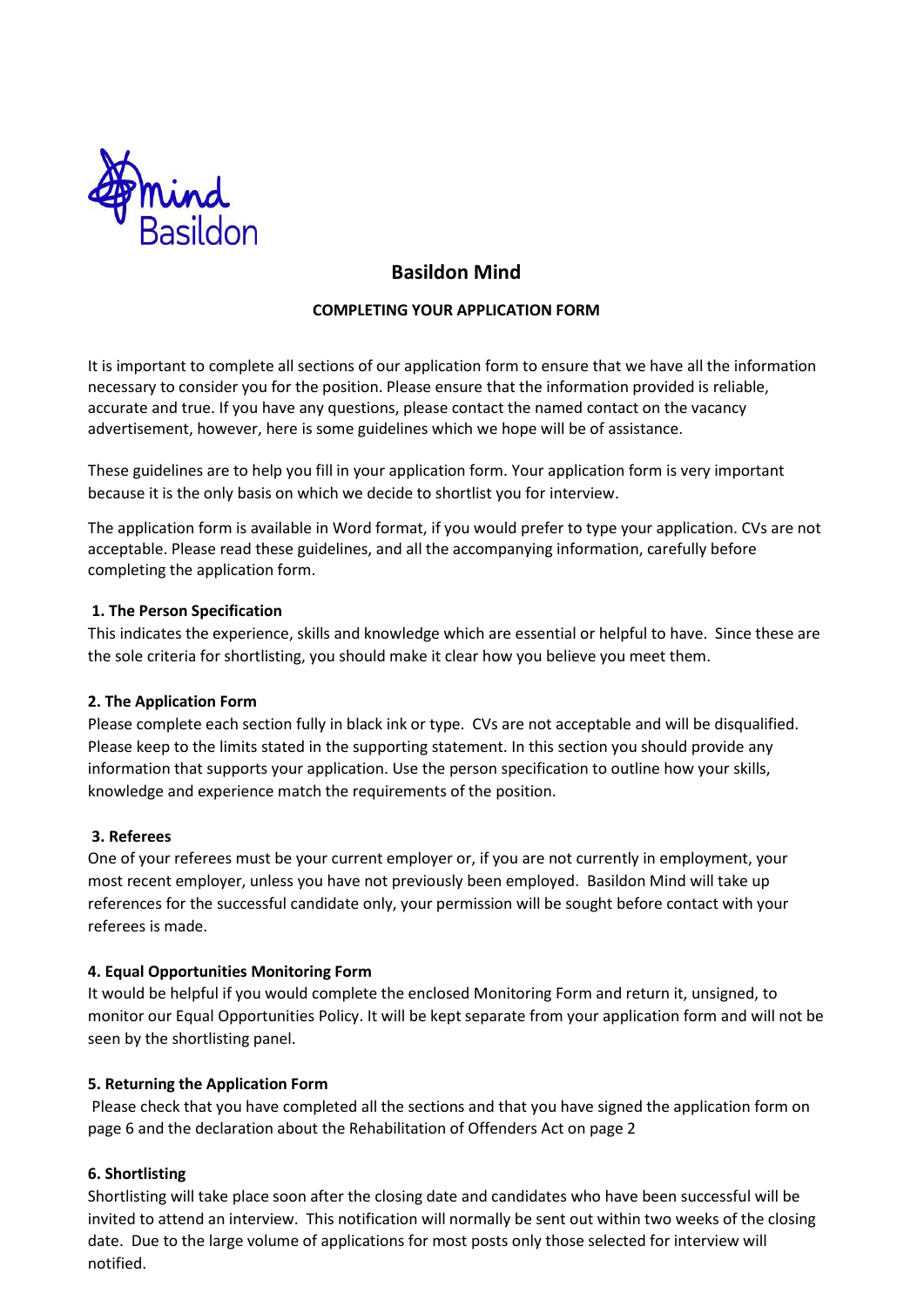

# **Basildon Mind**

## **COMPLETING YOUR APPLICATION FORM**

It is important to complete all sections of our application form to ensure that we have all the information necessary to consider you for the position. Please ensure that the information provided is reliable, accurate and true. If you have any questions, please contact the named contact on the vacancy advertisement, however, here is some guidelines which we hope will be of assistance.

These guidelines are to help you fill in your application form. Your application form is very important because it is the only basis on which we decide to shortlist you for interview.

The application form is available in Word format, if you would prefer to type your application. CVs are not acceptable. Please read these guidelines, and all the accompanying information, carefully before completing the application form.

## **1. The Person Specification**

This indicates the experience, skills and knowledge which are essential or helpful to have. Since these are the sole criteria for shortlisting, you should make it clear how you believe you meet them.

## **2. The Application Form**

Please complete each section fully in black ink or type. CVs are not acceptable and will be disqualified. Please keep to the limits stated in the supporting statement. In this section you should provide any information that supports your application. Use the person specification to outline how your skills, knowledge and experience match the requirements of the position.

## **3. Referees**

One of your referees must be your current employer or, if you are not currently in employment, your most recent employer, unless you have not previously been employed. Basildon Mind will take up references for the successful candidate only, your permission will be sought before contact with your referees is made.

## **4. Equal Opportunities Monitoring Form**

It would be helpful if you would complete the enclosed Monitoring Form and return it, unsigned, to monitor our Equal Opportunities Policy. It will be kept separate from your application form and will not be seen by the shortlisting panel.

## **5. Returning the Application Form**

Please check that you have completed all the sections and that you have signed the application form on page 6 and the declaration about the Rehabilitation of Offenders Act on page 2

## **6. Shortlisting**

Shortlisting will take place soon after the closing date and candidates who have been successful will be invited to attend an interview. This notification will normally be sent out within two weeks of the closing date. Due to the large volume of applications for most posts only those selected for interview will notified.